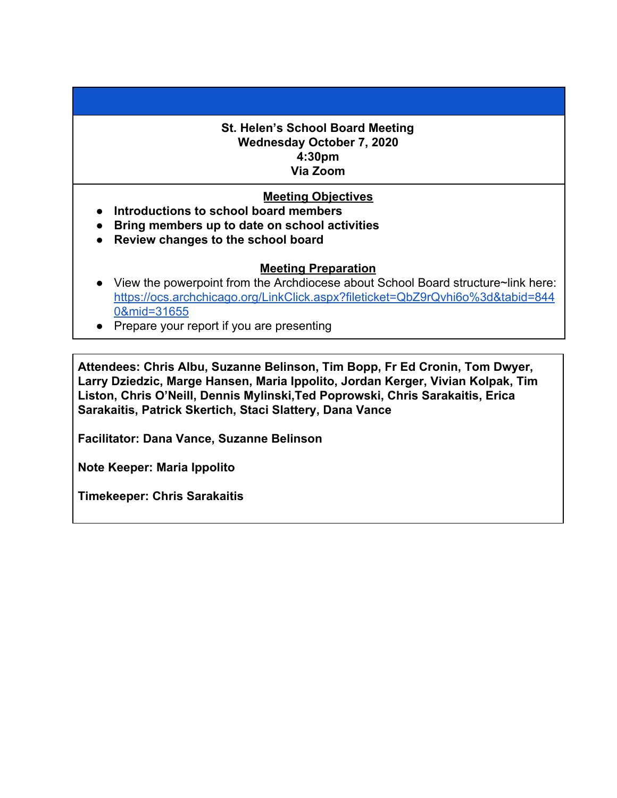## **St. Helen's School Board Meeting Wednesday October 7, 2020 4:30pm Via Zoom**

## **Meeting Objectives**

- **● Introductions to school board members**
- **● Bring members up to date on school activities**
- **● Review changes to the school board**

## **Meeting Preparation**

- View the powerpoint from the Archdiocese about School Board structure~link here: [https://ocs.archchicago.org/LinkClick.aspx?fileticket=QbZ9rQvhi6o%3d&tabid=844](https://ocs.archchicago.org/LinkClick.aspx?fileticket=QbZ9rQvhi6o%3d&tabid=8440&mid=31655) [0&mid=31655](https://ocs.archchicago.org/LinkClick.aspx?fileticket=QbZ9rQvhi6o%3d&tabid=8440&mid=31655)
- Prepare your report if you are presenting

**Attendees: Chris Albu, Suzanne Belinson, Tim Bopp, Fr Ed Cronin, Tom Dwyer, Larry Dziedzic, Marge Hansen, Maria Ippolito, Jordan Kerger, Vivian Kolpak, Tim Liston, Chris O'Neill, Dennis Mylinski,Ted Poprowski, Chris Sarakaitis, Erica Sarakaitis, Patrick Skertich, Staci Slattery, Dana Vance**

**Facilitator: Dana Vance, Suzanne Belinson**

**Note Keeper: Maria Ippolito**

**Timekeeper: Chris Sarakaitis**